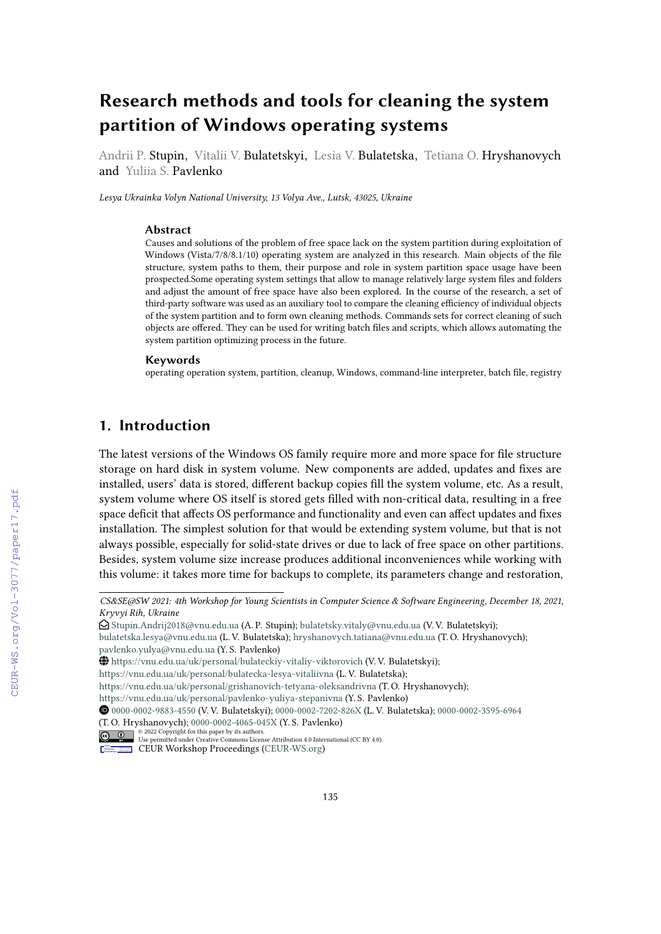# **Research methods and tools for cleaning the system partition of Windows operating systems**

Andrii P. Stupin, Vitalii V. Bulatetskyi, Lesia V. Bulatetska, Tetiana O. Hryshanovych and Yuliia S. Pavlenko

*Lesya Ukrainka Volyn National University, 13 Volya Ave., Lutsk, 43025, Ukraine*

#### **Abstract**

Causes and solutions of the problem of free space lack on the system partition during exploitation of Windows (Vista/7/8/8.1/10) operating system are analyzed in this research. Main objects of the file structure, system paths to them, their purpose and role in system partition space usage have been prospected.Some operating system settings that allow to manage relatively large system files and folders and adjust the amount of free space have also been explored. In the course of the research, a set of third-party software was used as an auxiliary tool to compare the cleaning efficiency of individual objects of the system partition and to form own cleaning methods. Commands sets for correct cleaning of such objects are offered. They can be used for writing batch files and scripts, which allows automating the system partition optimizing process in the future.

#### **Keywords**

operating operation system, partition, cleanup, Windows, command-line interpreter, batch file, registry

#### **1. Introduction**

The latest versions of the Windows OS family require more and more space for file structure storage on hard disk in system volume. New components are added, updates and fixes are installed, users' data is stored, different backup copies fill the system volume, etc. As a result, system volume where OS itself is stored gets filled with non-critical data, resulting in a free space deficit that affects OS performance and functionality and even can affect updates and fixes installation. The simplest solution for that would be extending system volume, but that is not always possible, especially for solid-state drives or due to lack of free space on other partitions. Besides, system volume size increase produces additional inconveniences while working with this volume: it takes more time for backups to complete, its parameters change and restoration,

*Kryvyi Rih, Ukraine CS&SE@SW 2021: 4th Workshop for Young Scientists in Computer Science & Software Engineering, December 18, 2021,*

<sup>&</sup>quot; [Stupin.Andrij2018@vnu.edu.ua](mailto:Stupin.Andrij2018@vnu.edu.ua) (A. P. Stupin); [bulatetsky.vitaly@vnu.edu.ua](mailto:bulatetsky.vitaly@vnu.edu.ua) (V. V. Bulatetskyi);

[bulatetska.lesya@vnu.edu.ua](mailto:bulatetska.lesya@vnu.edu.ua) (L. V. Bulatetska); [hryshanovych.tatiana@vnu.edu.ua](mailto:hryshanovych.tatiana@vnu.edu.ua) (T. O. Hryshanovych); [pavlenko.yulya@vnu.edu.ua](mailto:pavlenko.yulya@vnu.edu.ua) (Y. S. Pavlenko)

<sup>~</sup> <https://vnu.edu.ua/uk/personal/bulateckiy-vitaliy-viktorovich> (V. V. Bulatetskyi);

<https://vnu.edu.ua/uk/personal/bulatecka-lesya-vitaliivna> (L. V. Bulatetska);

<https://vnu.edu.ua/uk/personal/grishanovich-tetyana-oleksandrivna> (T. O. Hryshanovych);

<https://vnu.edu.ua/uk/personal/pavlenko-yuliya-stepanivna> (Y. S. Pavlenko)

[0000-0002-9883-4550](https://orcid.org/0000-0002-9883-4550) (V. V. Bulatetskyi); [0000-0002-7202-826X](https://orcid.org/0000-0002-7202-826X) (L. V. Bulatetska); [0000-0002-3595-6964](https://orcid.org/0000-0002-3595-6964) (T. O. Hryshanovych); [0000-0002-4065-045X](https://orcid.org/0000-0002-4065-045X) (Y. S. Pavlenko)

<sup>©</sup> 2022 Copyright for this paper by its authors. Use permitted under Creative Commons License Attribution 4.0 International (CC BY 4.0).

CEUR Workshop [Proceedings](http://ceur-ws.org) [\(CEUR-WS.org\)](http://ceur-ws.org)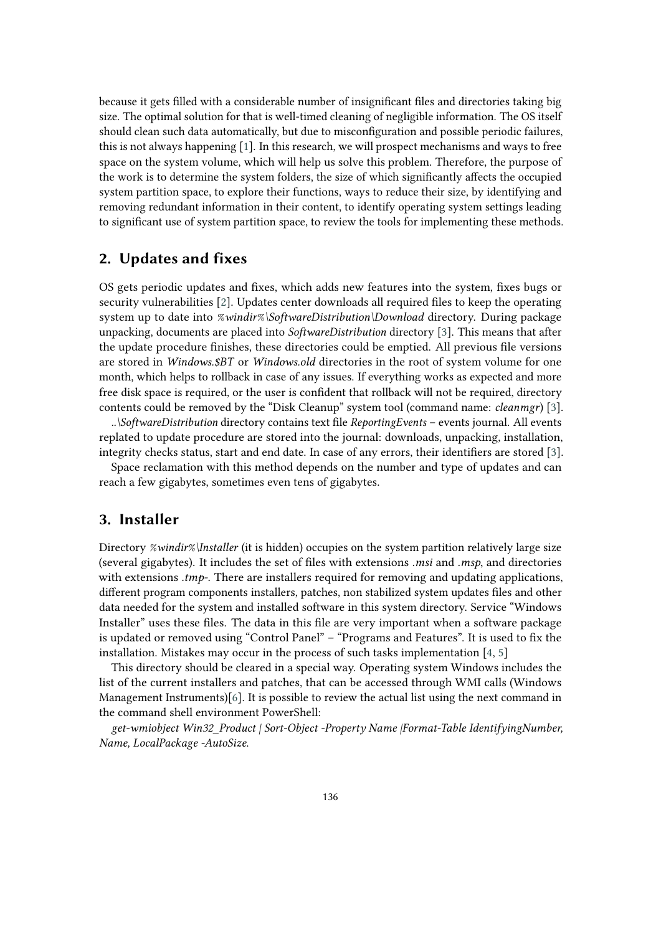because it gets filled with a considerable number of insignificant files and directories taking big size. The optimal solution for that is well-timed cleaning of negligible information. The OS itself should clean such data automatically, but due to misconfiguration and possible periodic failures, this is not always happening [\[1\]](#page-9-0). In this research, we will prospect mechanisms and ways to free space on the system volume, which will help us solve this problem. Therefore, the purpose of the work is to determine the system folders, the size of which significantly affects the occupied system partition space, to explore their functions, ways to reduce their size, by identifying and removing redundant information in their content, to identify operating system settings leading to significant use of system partition space, to review the tools for implementing these methods.

#### **2. Updates and fixes**

OS gets periodic updates and fixes, which adds new features into the system, fixes bugs or security vulnerabilities [\[2\]](#page-9-1). Updates center downloads all required files to keep the operating system up to date into *%windir%\SoftwareDistribution\Download* directory. During package unpacking, documents are placed into *SoftwareDistribution* directory [\[3\]](#page-9-2). This means that after the update procedure finishes, these directories could be emptied. All previous file versions are stored in *Windows.\$BT* or *Windows.old* directories in the root of system volume for one month, which helps to rollback in case of any issues. If everything works as expected and more free disk space is required, or the user is confident that rollback will not be required, directory contents could be removed by the "Disk Cleanup" system tool (command name: *cleanmgr*) [\[3\]](#page-9-2).

*..\SoftwareDistribution* directory contains text file *ReportingEvents* – events journal. All events replated to update procedure are stored into the journal: downloads, unpacking, installation, integrity checks status, start and end date. In case of any errors, their identifiers are stored [\[3\]](#page-9-2).

Space reclamation with this method depends on the number and type of updates and can reach a few gigabytes, sometimes even tens of gigabytes.

#### **3. Installer**

Directory *%windir%\Installer* (it is hidden) occupies on the system partition relatively large size (several gigabytes). It includes the set of files with extensions *.msi* and *.msp*, and directories with extensions *.tmp-*. There are installers required for removing and updating applications, different program components installers, patches, non stabilized system updates files and other data needed for the system and installed software in this system directory. Service "Windows Installer" uses these files. The data in this file are very important when a software package is updated or removed using "Control Panel" – "Programs and Features". It is used to fix the installation. Mistakes may occur in the process of such tasks implementation [\[4,](#page-9-3) [5\]](#page-9-4)

This directory should be cleared in a special way. Operating system Windows includes the list of the current installers and patches, that can be accessed through WMI calls (Windows Management Instruments)[\[6\]](#page-9-5). It is possible to review the actual list using the next command in the command shell environment PowerShell:

*get-wmiobject Win32\_Product | Sort-Object -Property Name |Format-Table IdentifyingNumber, Name, LocalPackage -AutoSize*.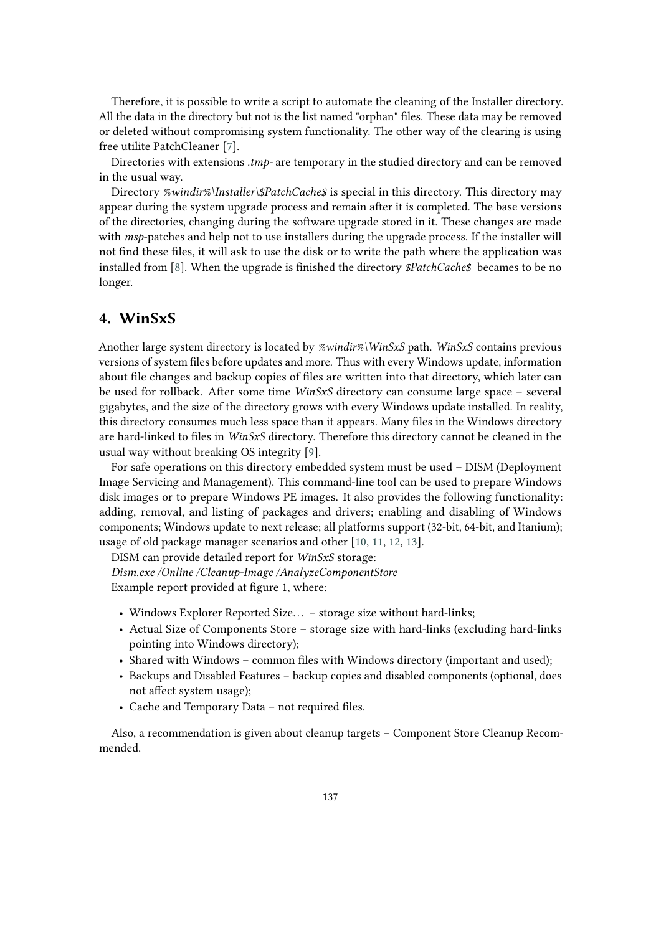Therefore, it is possible to write a script to automate the cleaning of the Installer directory. All the data in the directory but not is the list named "orphan" files. These data may be removed or deleted without compromising system functionality. The other way of the clearing is using free utilite PatchCleaner [\[7\]](#page-9-6).

Directories with extensions *.tmp-* are temporary in the studied directory and can be removed in the usual way.

Directory *%windir%\Installer\\$PatchCache\$* is special in this directory. This directory may appear during the system upgrade process and remain after it is completed. The base versions of the directories, changing during the software upgrade stored in it. These changes are made with *msp*-patches and help not to use installers during the upgrade process. If the installer will not find these files, it will ask to use the disk or to write the path where the application was installed from [\[8\]](#page-9-7). When the upgrade is finished the directory *\$PatchCache\$* becames to be no longer.

### **4. WinSxS**

Another large system directory is located by *%windir%\WinSxS* path. *WinSxS* contains previous versions of system files before updates and more. Thus with every Windows update, information about file changes and backup copies of files are written into that directory, which later can be used for rollback. After some time *WinSxS* directory can consume large space – several gigabytes, and the size of the directory grows with every Windows update installed. In reality, this directory consumes much less space than it appears. Many files in the Windows directory are hard-linked to files in *WinSxS* directory. Therefore this directory cannot be cleaned in the usual way without breaking OS integrity [\[9\]](#page-9-8).

For safe operations on this directory embedded system must be used – DISM (Deployment Image Servicing and Management). This command-line tool can be used to prepare Windows disk images or to prepare Windows PE images. It also provides the following functionality: adding, removal, and listing of packages and drivers; enabling and disabling of Windows components; Windows update to next release; all platforms support (32-bit, 64-bit, and Itanium); usage of old package manager scenarios and other [\[10,](#page-9-9) [11,](#page-9-10) [12,](#page-9-11) [13\]](#page-9-12).

DISM can provide detailed report for *WinSxS* storage:

*Dism.exe /Online /Cleanup-Image /AnalyzeComponentStore* Example report provided at figure 1, where:

- Windows Explorer Reported Size... storage size without hard-links;
- Actual Size of Components Store storage size with hard-links (excluding hard-links pointing into Windows directory);
- Shared with Windows common files with Windows directory (important and used);
- Backups and Disabled Features backup copies and disabled components (optional, does not affect system usage);
- Cache and Temporary Data not required files.

Also, a recommendation is given about cleanup targets – Component Store Cleanup Recommended.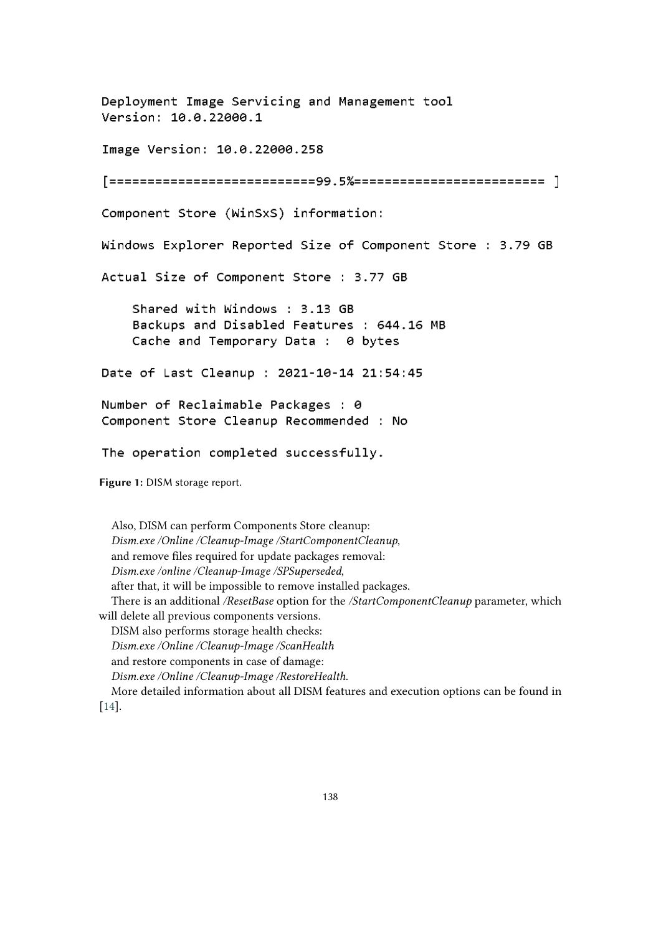Deployment Image Servicing and Management tool Version: 10.0.22000.1 Image Version: 10.0.22000.258 Component Store (WinSxS) information: Windows Explorer Reported Size of Component Store : 3.79 GB Actual Size of Component Store : 3.77 GB Shared with Windows : 3.13 GB Backups and Disabled Features : 644.16 MB Cache and Temporary Data : 0 bytes Date of Last Cleanup : 2021-10-14 21:54:45 Number of Reclaimable Packages : 0 Component Store Cleanup Recommended : No The operation completed successfully. **Figure 1:** DISM storage report.

Also, DISM can perform Components Store cleanup: *Dism.exe /Online /Cleanup-Image /StartComponentCleanup*, and remove files required for update packages removal: *Dism.exe /online /Cleanup-Image /SPSuperseded*, after that, it will be impossible to remove installed packages. There is an additional */ResetBase* option for the */StartComponentCleanup* parameter, which will delete all previous components versions. DISM also performs storage health checks: *Dism.exe /Online /Cleanup-Image /ScanHealth* and restore components in case of damage: *Dism.exe /Online /Cleanup-Image /RestoreHealth*. More detailed information about all DISM features and execution options can be found in [\[14\]](#page-9-13).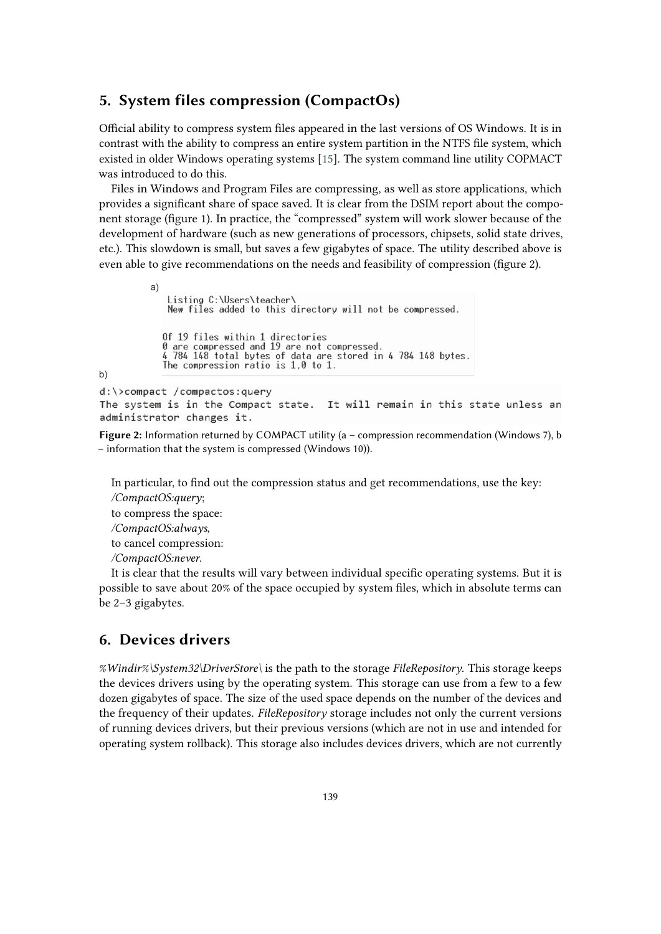#### **5. System files compression (CompactOs)**

Official ability to compress system files appeared in the last versions of OS Windows. It is in contrast with the ability to compress an entire system partition in the NTFS file system, which existed in older Windows operating systems [\[15\]](#page-10-0). The system command line utility COPMACT was introduced to do this.

Files in Windows and Program Files are compressing, as well as store applications, which provides a significant share of space saved. It is clear from the DSIM report about the component storage (figure 1). In practice, the "compressed" system will work slower because of the development of hardware (such as new generations of processors, chipsets, solid state drives, etc.). This slowdown is small, but saves a few gigabytes of space. The utility described above is even able to give recommendations on the needs and feasibility of compression (figure 2).

```
a)Listing C:\Users\teacher\
                 New files added to this directory will not be compressed.
                Of 19 files within 1 directories<br>0 are compressed and 19 are not compressed.<br>4 784 148 total bytes of data are stored in 4 784 148 bytes.<br>The compression ratio is 1,0 to 1.
b)d:\>compact /compactos:query
The system is in the Compact state. It will remain in this state unless an
administrator changes it.
```
**Figure 2:** Information returned by COMPACT utility (a – compression recommendation (Windows 7), b – information that the system is compressed (Windows 10)).

In particular, to find out the compression status and get recommendations, use the key:

*/CompactOS:query*; to compress the space: */CompactOS:always*, to cancel compression: */CompactOS:never*.

It is clear that the results will vary between individual specific operating systems. But it is possible to save about 20% of the space occupied by system files, which in absolute terms can be 2–3 gigabytes.

#### **6. Devices drivers**

*%Windir%\System32\DriverStore\* is the path to the storage *FileRepository*. This storage keeps the devices drivers using by the operating system. This storage can use from a few to a few dozen gigabytes of space. The size of the used space depends on the number of the devices and the frequency of their updates. *FileRepository* storage includes not only the current versions of running devices drivers, but their previous versions (which are not in use and intended for operating system rollback). This storage also includes devices drivers, which are not currently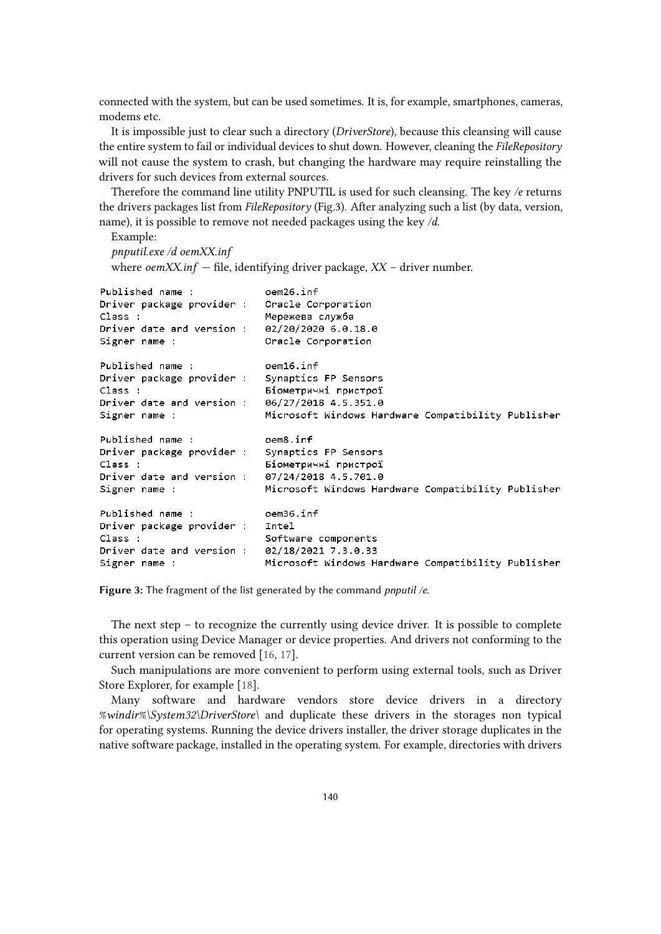connected with the system, but can be used sometimes. It is, for example, smartphones, cameras, modems etc.

It is impossible just to clear such a directory (*DriverStore*), because this cleansing will cause the entire system to fail or individual devices to shut down. However, cleaning the *FileRepository* will not cause the system to crash, but changing the hardware may require reinstalling the drivers for such devices from external sources.

Therefore the command line utility PNPUTIL is used for such cleansing. The key */e* returns the drivers packages list from *FileRepository* (Fig.3). After analyzing such a list (by data, version, name), it is possible to remove not needed packages using the key */d*.

#### Example:

```
pnputil.exe /d oemXX.inf
```
where *oemXX.inf* — file, identifying driver package, *XX* – driver number.

| Published name:<br>Driver package provider : Oracle Corporation | oem26.inf                                          |  |
|-----------------------------------------------------------------|----------------------------------------------------|--|
| Class:                                                          | Мережева служба                                    |  |
| Driver date and version : 02/20/2020 6.0.18.0                   |                                                    |  |
| Signer name :                                                   | Oracle Corporation                                 |  |
| Published name :                                                | oem16.inf                                          |  |
| Driver package provider : Synaptics FP Sensors                  |                                                    |  |
| Class:                                                          | Біометричні пристрої                               |  |
| Driver date and version : 06/27/2018 4.5.351.0                  |                                                    |  |
| Signer name :                                                   | Microsoft Windows Hardware Compatibility Publisher |  |
| Published name :                                                | oem8.inf                                           |  |
| Driver package provider : Synaptics FP Sensors                  |                                                    |  |
| Class:                                                          | Біометричні пристрої                               |  |
| Driver date and version : 07/24/2018 4.5.701.0                  |                                                    |  |
| Signer name :                                                   | Microsoft Windows Hardware Compatibility Publisher |  |
| Published name:                                                 | oem36.inf                                          |  |
| Driver package provider :                                       | Intel                                              |  |
| Class:                                                          | Software components                                |  |
| Driver date and version : 02/18/2021 7.3.0.33                   |                                                    |  |
| Signer name :                                                   | Microsoft Windows Hardware Compatibility Publisher |  |
|                                                                 |                                                    |  |

**Figure 3:** The fragment of the list generated by the command *pnputil /e*.

The next step – to recognize the currently using device driver. It is possible to complete this operation using Device Manager or device properties. And drivers not conforming to the current version can be removed [\[16,](#page-10-1) [17\]](#page-10-2).

Such manipulations are more convenient to perform using external tools, such as Driver Store Explorer, for example [\[18\]](#page-10-3).

Many software and hardware vendors store device drivers in a directory *%windir%\System32\DriverStore\* and duplicate these drivers in the storages non typical for operating systems. Running the device drivers installer, the driver storage duplicates in the native software package, installed in the operating system. For example, directories with drivers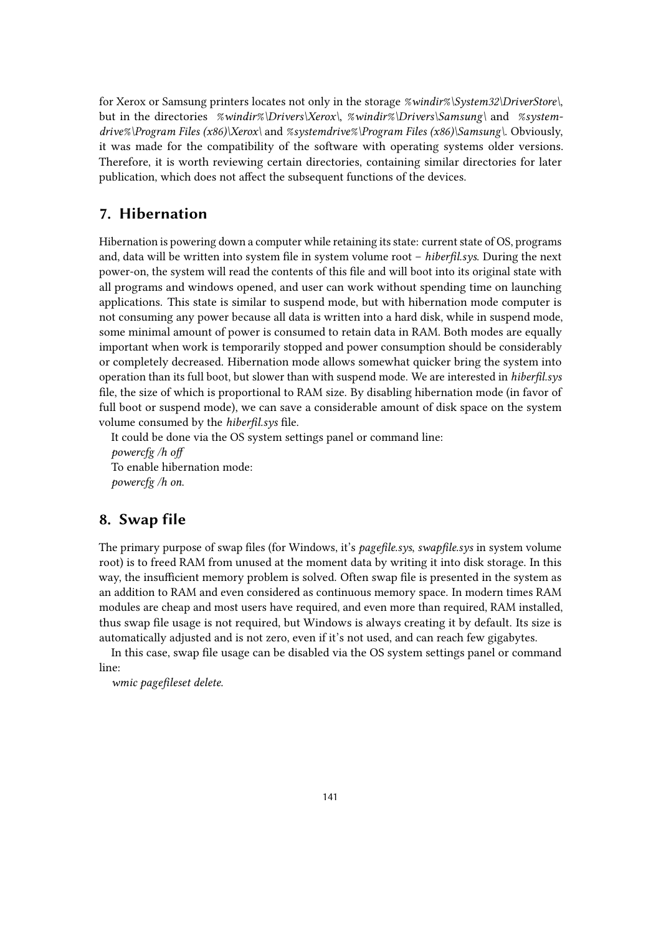for Xerox or Samsung printers locates not only in the storage *%windir%\System32\DriverStore\*, but in the directories *%windir%\Drivers\Xerox\*, *%windir%\Drivers\Samsung\* and *%systemdrive%\Program Files (x86)\Xerox\* and *%systemdrive%\Program Files (x86)\Samsung\*. Obviously, it was made for the compatibility of the software with operating systems older versions. Therefore, it is worth reviewing certain directories, containing similar directories for later publication, which does not affect the subsequent functions of the devices.

## **7. Hibernation**

Hibernation is powering down a computer while retaining its state: current state of OS, programs and, data will be written into system file in system volume root – *hiberfil.sys*. During the next power-on, the system will read the contents of this file and will boot into its original state with all programs and windows opened, and user can work without spending time on launching applications. This state is similar to suspend mode, but with hibernation mode computer is not consuming any power because all data is written into a hard disk, while in suspend mode, some minimal amount of power is consumed to retain data in RAM. Both modes are equally important when work is temporarily stopped and power consumption should be considerably or completely decreased. Hibernation mode allows somewhat quicker bring the system into operation than its full boot, but slower than with suspend mode. We are interested in *hiberfil.sys* file, the size of which is proportional to RAM size. By disabling hibernation mode (in favor of full boot or suspend mode), we can save a considerable amount of disk space on the system volume consumed by the *hiberfil.sys* file.

It could be done via the OS system settings panel or command line: *powercfg /h off* To enable hibernation mode: *powercfg /h on*.

#### **8. Swap file**

The primary purpose of swap files (for Windows, it's *pagefile.sys*, *swapfile.sys* in system volume root) is to freed RAM from unused at the moment data by writing it into disk storage. In this way, the insufficient memory problem is solved. Often swap file is presented in the system as an addition to RAM and even considered as continuous memory space. In modern times RAM modules are cheap and most users have required, and even more than required, RAM installed, thus swap file usage is not required, but Windows is always creating it by default. Its size is automatically adjusted and is not zero, even if it's not used, and can reach few gigabytes.

In this case, swap file usage can be disabled via the OS system settings panel or command line:

*wmic pagefileset delete*.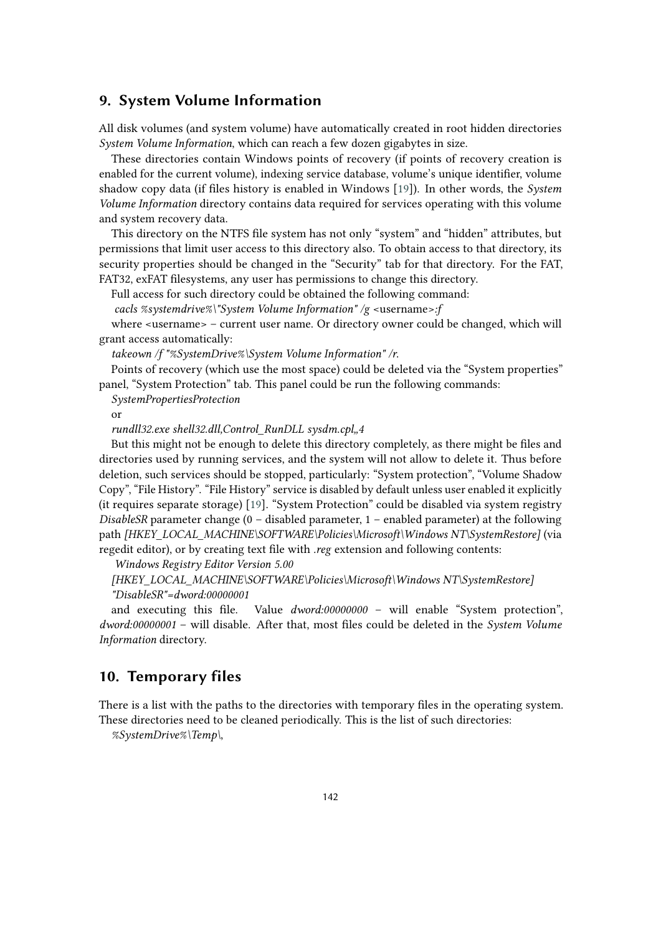#### **9. System Volume Information**

All disk volumes (and system volume) have automatically created in root hidden directories *System Volume Information*, which can reach a few dozen gigabytes in size.

These directories contain Windows points of recovery (if points of recovery creation is enabled for the current volume), indexing service database, volume's unique identifier, volume shadow copy data (if files history is enabled in Windows [\[19\]](#page-10-4)). In other words, the *System Volume Information* directory contains data required for services operating with this volume and system recovery data.

This directory on the NTFS file system has not only "system" and "hidden" attributes, but permissions that limit user access to this directory also. To obtain access to that directory, its security properties should be changed in the "Security" tab for that directory. For the FAT, FAT32, exFAT filesystems, any user has permissions to change this directory.

Full access for such directory could be obtained the following command:

*cacls %systemdrive%\"System Volume Information" /g* <username>*:f*

where <username> – current user name. Or directory owner could be changed, which will grant access automatically:

*takeown /f "%SystemDrive%\System Volume Information" /r*.

Points of recovery (which use the most space) could be deleted via the "System properties" panel, "System Protection" tab. This panel could be run the following commands:

*SystemPropertiesProtection*

or

*rundll32.exe shell32.dll,Control\_RunDLL sysdm.cpl"4*

But this might not be enough to delete this directory completely, as there might be files and directories used by running services, and the system will not allow to delete it. Thus before deletion, such services should be stopped, particularly: "System protection", "Volume Shadow Copy", "File History". "File History" service is disabled by default unless user enabled it explicitly (it requires separate storage) [\[19\]](#page-10-4). "System Protection" could be disabled via system registry *DisableSR* parameter change (0 – disabled parameter, 1 – enabled parameter) at the following path *[HKEY\_LOCAL\_MACHINE\SOFTWARE\Policies\Microsoft\Windows NT\SystemRestore]* (via regedit editor), or by creating text file with *.reg* extension and following contents:

*Windows Registry Editor Version 5.00*

*[HKEY\_LOCAL\_MACHINE\SOFTWARE\Policies\Microsoft\Windows NT\SystemRestore] "DisableSR"=dword:00000001*

and executing this file. Value *dword:00000000* – will enable "System protection", *dword:00000001* – will disable. After that, most files could be deleted in the *System Volume Information* directory.

### **10. Temporary files**

There is a list with the paths to the directories with temporary files in the operating system. These directories need to be cleaned periodically. This is the list of such directories:

*%SystemDrive%\Temp\*,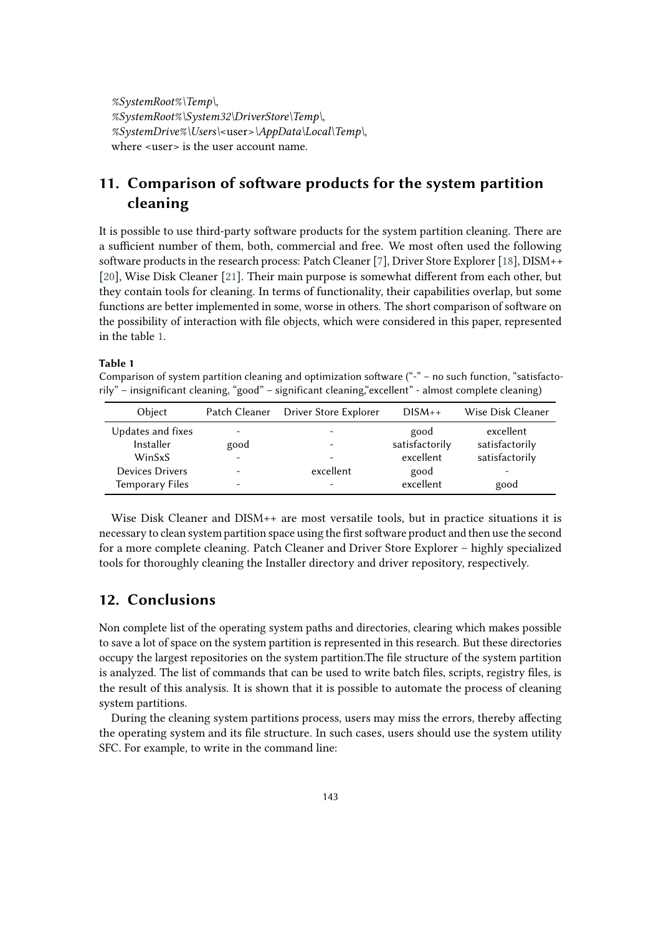*%SystemRoot%\Temp\*, *%SystemRoot%\System32\DriverStore\Temp\*, *%SystemDrive%\Users\*<user>*\AppData\Local\Temp\*, where <user> is the user account name.

# **11. Comparison of software products for the system partition cleaning**

It is possible to use third-party software products for the system partition cleaning. There are a sufficient number of them, both, commercial and free. We most often used the following software products in the research process: Patch Cleaner [\[7\]](#page-9-6), Driver Store Explorer [\[18\]](#page-10-3), DISM++ [\[20\]](#page-10-5), Wise Disk Cleaner [\[21\]](#page-10-6). Their main purpose is somewhat different from each other, but they contain tools for cleaning. In terms of functionality, their capabilities overlap, but some functions are better implemented in some, worse in others. The short comparison of software on the possibility of interaction with file objects, which were considered in this paper, represented in the table [1.](#page-8-0)

#### **Table 1**

<span id="page-8-0"></span>Comparison of system partition cleaning and optimization software ("-" – no such function, "satisfactorily" – insignificant cleaning, "good" – significant cleaning,"excellent" - almost complete cleaning)

| Object                 |      | Patch Cleaner Driver Store Explorer | $DISM++$       | Wise Disk Cleaner |
|------------------------|------|-------------------------------------|----------------|-------------------|
| Updates and fixes      |      | $\overline{\phantom{0}}$            | good           | excellent         |
| Installer              | good |                                     | satisfactorily | satisfactorily    |
| WinSxS                 |      | -                                   | excellent      | satisfactorily    |
| <b>Devices Drivers</b> |      | excellent                           | good           | -                 |
| <b>Temporary Files</b> |      | -                                   | excellent      | good              |

Wise Disk Cleaner and DISM++ are most versatile tools, but in practice situations it is necessary to clean system partition space using the first software product and then use the second for a more complete cleaning. Patch Cleaner and Driver Store Explorer – highly specialized tools for thoroughly cleaning the Installer directory and driver repository, respectively.

#### **12. Conclusions**

Non complete list of the operating system paths and directories, clearing which makes possible to save a lot of space on the system partition is represented in this research. But these directories occupy the largest repositories on the system partition.The file structure of the system partition is analyzed. The list of commands that can be used to write batch files, scripts, registry files, is the result of this analysis. It is shown that it is possible to automate the process of cleaning system partitions.

During the cleaning system partitions process, users may miss the errors, thereby affecting the operating system and its file structure. In such cases, users should use the system utility SFC. For example, to write in the command line: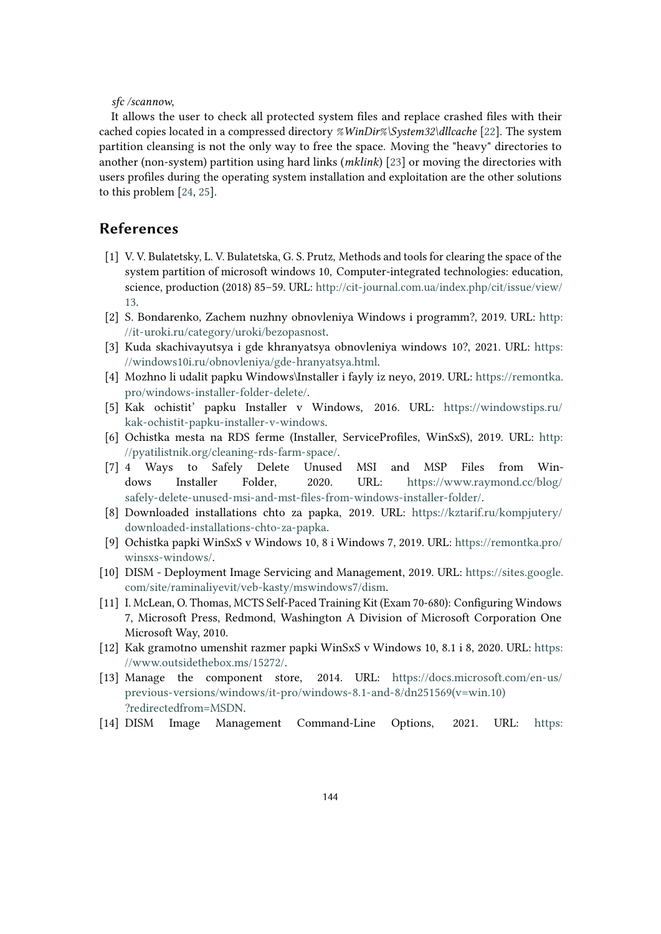#### *sfc /scannow*,

It allows the user to check all protected system files and replace crashed files with their cached copies located in a compressed directory *%WinDir%\System32\dllcache* [\[22\]](#page-10-7). The system partition cleansing is not the only way to free the space. Moving the "heavy" directories to another (non-system) partition using hard links (*mklink*) [\[23\]](#page-10-8) or moving the directories with users profiles during the operating system installation and exploitation are the other solutions to this problem [\[24,](#page-10-9) [25\]](#page-10-10).

### **References**

- <span id="page-9-0"></span>[1] V. V. Bulatetsky, L. V. Bulatetska, G. S. Prutz, Methods and tools for clearing the space of the system partition of microsoft windows 10, Computer-integrated technologies: education, science, production (2018) 85–59. URL: [http://cit-journal.com.ua/index.php/cit/issue/view/](http://cit-journal.com.ua/index.php/cit/issue/view/13) [13.](http://cit-journal.com.ua/index.php/cit/issue/view/13)
- <span id="page-9-1"></span>[2] S. Bondarenko, Zachem nuzhny obnovleniya Windows i programm?, 2019. URL: [http:](http://it-uroki.ru/category/uroki/bezopasnost) [//it-uroki.ru/category/uroki/bezopasnost.](http://it-uroki.ru/category/uroki/bezopasnost)
- <span id="page-9-2"></span>[3] Kuda skachivayutsya i gde khranyatsya obnovleniya windows 10?, 2021. URL: [https:](https://windows10i.ru/obnovleniya/gde-hranyatsya.html) [//windows10i.ru/obnovleniya/gde-hranyatsya.html.](https://windows10i.ru/obnovleniya/gde-hranyatsya.html)
- <span id="page-9-3"></span>[4] Mozhno li udalit papku Windows\Installer i fayly iz neyo, 2019. URL: [https://remontka.](https://remontka.pro/windows-installer-folder-delete/) [pro/windows-installer-folder-delete/.](https://remontka.pro/windows-installer-folder-delete/)
- <span id="page-9-4"></span>[5] Kak ochistit' papku Installer v Windows, 2016. URL: [https://windowstips.ru/](https://windowstips.ru/kak-ochistit-papku-installer-v-windows) [kak-ochistit-papku-installer-v-windows.](https://windowstips.ru/kak-ochistit-papku-installer-v-windows)
- <span id="page-9-5"></span>[6] Ochistka mesta na RDS ferme (Installer, ServiceProfiles, WinSxS), 2019. URL: [http:](http://pyatilistnik.org/cleaning-rds-farm-space/) [//pyatilistnik.org/cleaning-rds-farm-space/.](http://pyatilistnik.org/cleaning-rds-farm-space/)
- <span id="page-9-6"></span>[7] 4 Ways to Safely Delete Unused MSI and MSP Files from Windows Installer Folder, 2020. URL: [https://www.raymond.cc/blog/](https://www.raymond.cc/blog/safely-delete-unused-msi-and-mst-files-from-windows-installer-folder/) [safely-delete-unused-msi-and-mst-files-from-windows-installer-folder/.](https://www.raymond.cc/blog/safely-delete-unused-msi-and-mst-files-from-windows-installer-folder/)
- <span id="page-9-7"></span>[8] Downloaded installations chto za papka, 2019. URL: [https://kztarif.ru/kompjutery/](https://kztarif.ru/kompjutery/downloaded-installations-chto-za-papka) [downloaded-installations-chto-za-papka.](https://kztarif.ru/kompjutery/downloaded-installations-chto-za-papka)
- <span id="page-9-8"></span>[9] Ochistka papki WinSxS v Windows 10, 8 i Windows 7, 2019. URL: [https://remontka.pro/](https://remontka.pro/winsxs-windows/) [winsxs-windows/.](https://remontka.pro/winsxs-windows/)
- <span id="page-9-9"></span>[10] DISM - Deployment Image Servicing and Management, 2019. URL: [https://sites.google.](https://sites.google.com/site/raminaliyevit/veb-kasty/mswindows7/dism) [com/site/raminaliyevit/veb-kasty/mswindows7/dism.](https://sites.google.com/site/raminaliyevit/veb-kasty/mswindows7/dism)
- <span id="page-9-10"></span>[11] I. McLean, O. Thomas, MCTS Self-Paced Training Kit (Exam 70-680): Configuring Windows 7, Microsoft Press, Redmond, Washington A Division of Microsoft Corporation One Microsoft Way, 2010.
- <span id="page-9-11"></span>[12] Kak gramotno umenshit razmer papki WinSxS v Windows 10, 8.1 i 8, 2020. URL: [https:](https://www.outsidethebox.ms/15272/) [//www.outsidethebox.ms/15272/.](https://www.outsidethebox.ms/15272/)
- <span id="page-9-12"></span>[13] Manage the component store, 2014. URL: [https://docs.microsoft.com/en-us/](https://docs.microsoft.com/en-us/previous-versions/windows/it-pro/windows-8.1-and-8/dn251569(v=win.10)?redirectedfrom=MSDN) [previous-versions/windows/it-pro/windows-8.1-and-8/dn251569\(v=win.10\)](https://docs.microsoft.com/en-us/previous-versions/windows/it-pro/windows-8.1-and-8/dn251569(v=win.10)?redirectedfrom=MSDN) [?redirectedfrom=MSDN.](https://docs.microsoft.com/en-us/previous-versions/windows/it-pro/windows-8.1-and-8/dn251569(v=win.10)?redirectedfrom=MSDN)
- <span id="page-9-13"></span>[14] DISM Image Management Command-Line Options, 2021. URL: [https:](https://docs.microsoft.com/en-us/windows-hardware/manufacture/desktop/dism-image-management-command-line-options-s14)